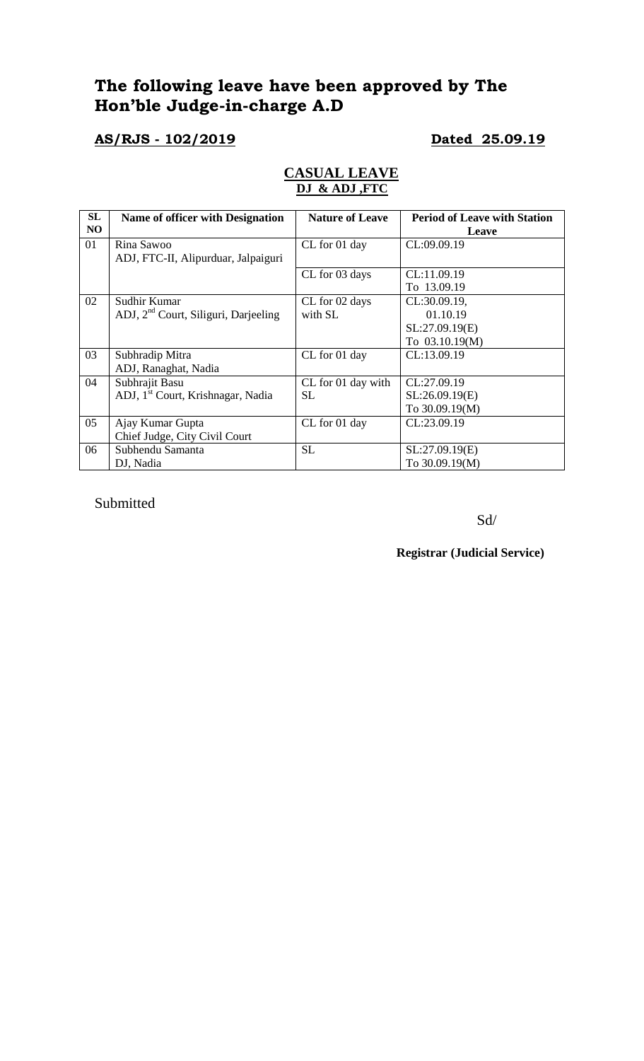# **The following leave have been approved by The Hon'ble Judge-in-charge A.D**

# **AS/RJS - 102/2019 Dated 25.09.19**

## **CASUAL LEAVE DJ & ADJ ,FTC**

| SL<br>NO | Name of officer with Designation                 | <b>Nature of Leave</b> | <b>Period of Leave with Station</b><br>Leave |
|----------|--------------------------------------------------|------------------------|----------------------------------------------|
| 01       | Rina Sawoo                                       | CL for 01 day          | CL:09.09.19                                  |
|          | ADJ, FTC-II, Alipurduar, Jalpaiguri              |                        |                                              |
|          |                                                  | CL for 03 days         | CL:11.09.19                                  |
|          |                                                  |                        | To 13.09.19                                  |
| 02       | Sudhir Kumar                                     | CL for 02 days         | CL:30.09.19,                                 |
|          | ADJ, 2 <sup>nd</sup> Court, Siliguri, Darjeeling | with SL                | 01.10.19                                     |
|          |                                                  |                        | SL:27.09.19(E)                               |
|          |                                                  |                        | To 03.10.19(M)                               |
| 03       | Subhradip Mitra                                  | CL for 01 day          | CL:13.09.19                                  |
|          | ADJ, Ranaghat, Nadia                             |                        |                                              |
| 04       | Subhrajit Basu                                   | CL for 01 day with     | CL:27.09.19                                  |
|          | ADJ, 1 <sup>st</sup> Court, Krishnagar, Nadia    | SL                     | SL:26.09.19(E)                               |
|          |                                                  |                        | To 30.09.19(M)                               |
| 05       | Ajay Kumar Gupta                                 | CL for 01 day          | CL:23.09.19                                  |
|          | Chief Judge, City Civil Court                    |                        |                                              |
| 06       | Subhendu Samanta                                 | <b>SL</b>              | SL:27.09.19(E)                               |
|          | DJ, Nadia                                        |                        | To 30.09.19(M)                               |

Submitted

Sd/

**Registrar (Judicial Service)**